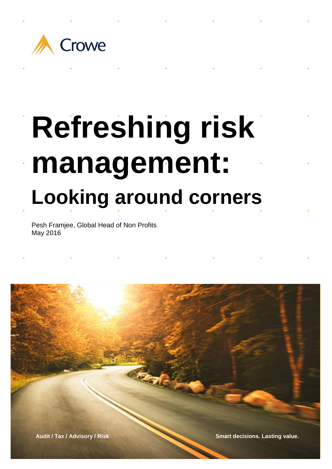

# **Refreshing risk management: Looking around corners**

Pesh Framjee, Global Head of Non Profits May 2016

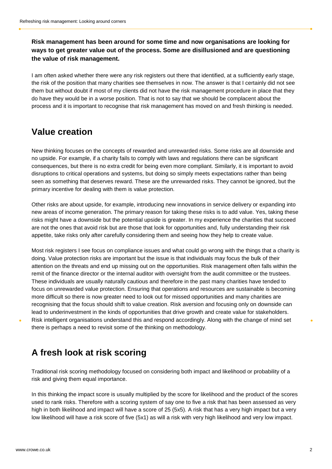## **Risk management has been around for some time and now organisations are looking for ways to get greater value out of the process. Some are disillusioned and are questioning the value of risk management.**

I am often asked whether there were any risk registers out there that identified, at a sufficiently early stage, the risk of the position that many charities see themselves in now. The answer is that I certainly did not see them but without doubt if most of my clients did not have the risk management procedure in place that they do have they would be in a worse position. That is not to say that we should be complacent about the process and it is important to recognise that risk management has moved on and fresh thinking is needed.

# **Value creation**

New thinking focuses on the concepts of rewarded and unrewarded risks. Some risks are all downside and no upside. For example, if a charity fails to comply with laws and regulations there can be significant consequences, but there is no extra credit for being even more compliant. Similarly, it is important to avoid disruptions to critical operations and systems, but doing so simply meets expectations rather than being seen as something that deserves reward. These are the unrewarded risks. They cannot be ignored, but the primary incentive for dealing with them is value protection.

Other risks are about upside, for example, introducing new innovations in service delivery or expanding into new areas of income generation. The primary reason for taking these risks is to add value. Yes, taking these risks might have a downside but the potential upside is greater. In my experience the charities that succeed are not the ones that avoid risk but are those that look for opportunities and, fully understanding their risk appetite, take risks only after carefully considering them and seeing how they help to create value.

Most risk registers I see focus on compliance issues and what could go wrong with the things that a charity is doing. Value protection risks are important but the issue is that individuals may focus the bulk of their attention on the threats and end up missing out on the opportunities. Risk management often falls within the remit of the finance director or the internal auditor with oversight from the audit committee or the trustees. These individuals are usually naturally cautious and therefore in the past many charities have tended to focus on unrewarded value protection. Ensuring that operations and resources are sustainable is becoming more difficult so there is now greater need to look out for missed opportunities and many charities are recognising that the focus should shift to value creation. Risk aversion and focusing only on downside can lead to underinvestment in the kinds of opportunities that drive growth and create value for stakeholders. Risk intelligent organisations understand this and respond accordingly. Along with the change of mind set there is perhaps a need to revisit some of the thinking on methodology.

# **A fresh look at risk scoring**

Traditional risk scoring methodology focused on considering both impact and likelihood or probability of a risk and giving them equal importance.

In this thinking the impact score is usually multiplied by the score for likelihood and the product of the scores used to rank risks. Therefore with a scoring system of say one to five a risk that has been assessed as very high in both likelihood and impact will have a score of 25 (5x5). A risk that has a very high impact but a very low likelihood will have a risk score of five (5x1) as will a risk with very high likelihood and very low impact.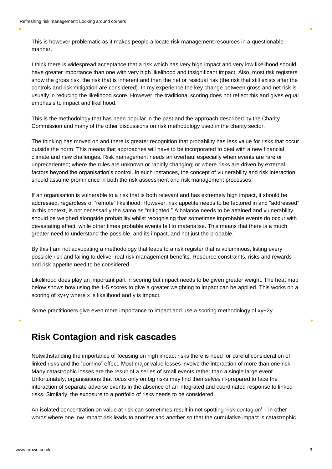This is however problematic as it makes people allocate risk management resources in a questionable manner.

I think there is widespread acceptance that a risk which has very high impact and very low likelihood should have greater importance than one with very high likelihood and insignificant impact. Also, most risk registers show the gross risk, the risk that is inherent and then the net or residual risk (the risk that still exists after the controls and risk mitigation are considered). In my experience the key change between gross and net risk is usually in reducing the likelihood score. However, the traditional scoring does not reflect this and gives equal emphasis to impact and likelihood.

This is the methodology that has been popular in the past and the approach described by the Charity Commission and many of the other discussions on risk methodology used in the charity sector.

The thinking has moved on and there is greater recognition that probability has less value for risks that occur outside the norm. This means that approaches will have to be incorporated to deal with a new financial climate and new challenges. Risk management needs an overhaul especially when events are rare or unprecedented; where the rules are unknown or rapidly changing; or where risks are driven by external factors beyond the organisation's control. In such instances, the concept of vulnerability and risk interaction should assume prominence in both the risk assessment and risk management processes.

If an organisation is vulnerable to a risk that is both relevant and has extremely high impact, it should be addressed, regardless of "remote" likelihood. However, risk appetite needs to be factored in and "addressed" in this context, is not necessarily the same as "mitigated." A balance needs to be attained and vulnerability should be weighed alongside probability whilst recognising that sometimes improbable events do occur with devastating effect, while other times probable events fail to materialise. This means that there is a much greater need to understand the possible, and its impact, and not just the probable.

By this I am not advocating a methodology that leads to a risk register that is voluminous, listing every possible risk and failing to deliver real risk management benefits. Resource constraints, risks and rewards and risk appetite need to be considered.

Likelihood does play an important part in scoring but impact needs to be given greater weight. The heat map below shows how using the 1-5 scores to give a greater weighting to impact can be applied. This works on a scoring of xy+y where x is likelihood and y is impact.

Some practitioners give even more importance to impact and use a scoring methodology of xy+2y.

# **Risk Contagion and risk cascades**

Notwithstanding the importance of focusing on high impact risks there is need for careful consideration of linked risks and the "domino" effect. Most major value losses involve the interaction of more than one risk. Many catastrophic losses are the result of a series of small events rather than a single large event. Unfortunately, organisations that focus only on big risks may find themselves ill-prepared to face the interaction of separate adverse events in the absence of an integrated and coordinated response to linked risks. Similarly, the exposure to a portfolio of risks needs to be considered.

An isolated concentration on value at risk can sometimes result in not spotting 'risk contagion' – in other words where one low impact risk leads to another and another so that the cumulative impact is catastrophic.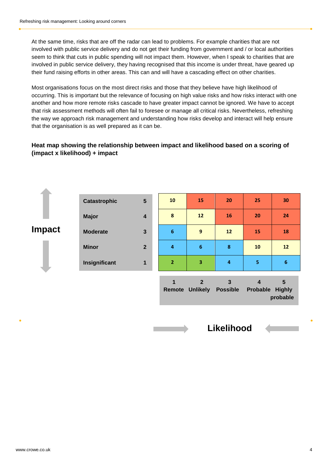At the same time, risks that are off the radar can lead to problems. For example charities that are not involved with public service delivery and do not get their funding from government and / or local authorities seem to think that cuts in public spending will not impact them. However, when I speak to charities that are involved in public service delivery, they having recognised that this income is under threat, have geared up their fund raising efforts in other areas. This can and will have a cascading effect on other charities.

Most organisations focus on the most direct risks and those that they believe have high likelihood of occurring. This is important but the relevance of focusing on high value risks and how risks interact with one another and how more remote risks cascade to have greater impact cannot be ignored. We have to accept that risk assessment methods will often fail to foresee or manage all critical risks. Nevertheless, refreshing the way we approach risk management and understanding how risks develop and interact will help ensure that the organisation is as well prepared as it can be.

## **Heat map showing the relationship between impact and likelihood based on a scoring of (impact x likelihood) + impact**

|               | <b>Catastrophic</b> | 5                       | 10                      | 15                      | 20                             | 25                   | 30              |
|---------------|---------------------|-------------------------|-------------------------|-------------------------|--------------------------------|----------------------|-----------------|
|               | <b>Major</b>        | $\overline{\mathbf{4}}$ | 8                       | 12                      | 16                             | 20                   | 24              |
| <b>Impact</b> | <b>Moderate</b>     | $\overline{3}$          | $6\phantom{1}6$         | 9                       | 12                             | 15                   | 18              |
|               | <b>Minor</b>        | $\overline{2}$          | $\overline{4}$          | $6\phantom{1}6$         | $\boldsymbol{8}$               | 10                   | $12$            |
|               | Insignificant       | $\overline{1}$          | $\overline{2}$          | $\overline{\mathbf{3}}$ | $\overline{4}$                 | 5 <sup>1</sup>       | $6\phantom{1}6$ |
|               |                     |                         | $\overline{\mathbf{A}}$ | $\overline{2}$          | 3<br>Demate Unilizato Desailde | 4<br>Deskable Utable | $5\phantom{1}$  |

**Remote Unlikely Possible Probable Highly probable** 

 **Likelihood**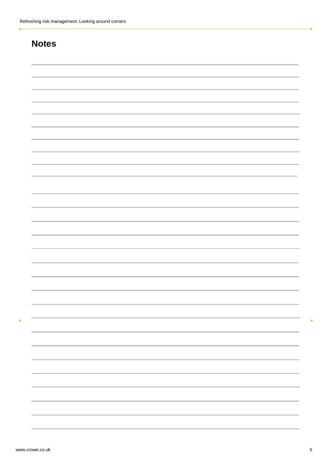# **Notes**

|                                                                                  | the control of the control of the control of the control of the control of |
|----------------------------------------------------------------------------------|----------------------------------------------------------------------------|
|                                                                                  |                                                                            |
|                                                                                  |                                                                            |
|                                                                                  | the control of the control of the control of the                           |
|                                                                                  | <b>Contract Contract</b>                                                   |
|                                                                                  |                                                                            |
|                                                                                  |                                                                            |
| ,我们也不会有什么。""我们的人,我们也不会有什么?""我们的人,我们也不会有什么?""我们的人,我们也不会有什么?""我们的人,我们也不会有什么?""我们的人 |                                                                            |
|                                                                                  |                                                                            |
|                                                                                  | the control of the control of the control of                               |
| ,我们也不会有什么?""我们的话,我们也不会有什么?""我们的话,我们也不会有什么?""我们的话,我们也不会有什么?""我们的话,我们也不会有什么?""我们的话 |                                                                            |
|                                                                                  |                                                                            |
| ,我们也不会有什么?""我们的话,我们也不会有什么?""我们的话,我们也不会有什么?""我们的话,我们也不会有什么?""我们的话,我们也不会有什么?""我们的话 |                                                                            |
|                                                                                  |                                                                            |
|                                                                                  |                                                                            |
| ,我们也不会有什么?""我们的人,我们也不会有什么?""我们的人,我们也不会有什么?""我们的人,我们也不会有什么?""我们的人,我们也不会有什么?""我们的人 |                                                                            |
|                                                                                  |                                                                            |
|                                                                                  |                                                                            |
|                                                                                  | the control of the control of the                                          |
|                                                                                  |                                                                            |
|                                                                                  | the control of the control of the con-                                     |
|                                                                                  |                                                                            |
|                                                                                  |                                                                            |
|                                                                                  | the control of the control of the control of the control of the control of |
|                                                                                  |                                                                            |
|                                                                                  | the control of the control of the                                          |
|                                                                                  |                                                                            |
|                                                                                  |                                                                            |
|                                                                                  |                                                                            |
|                                                                                  |                                                                            |
|                                                                                  |                                                                            |
| ,我们也不会有什么?""我们的人,我们也不会有什么?""我们的人,我们也不会有什么?""我们的人,我们也不会有什么?""我们的人,我们也不会有什么?""我们的人 |                                                                            |
|                                                                                  |                                                                            |
|                                                                                  | the control of the control of the                                          |
|                                                                                  |                                                                            |
| ,我们也不会有什么?""我们的人,我们也不会有什么?""我们的人,我们也不会有什么?""我们的人,我们也不会有什么?""我们的人,我们也不会有什么?""我们的人 |                                                                            |
|                                                                                  | the control of the control of the                                          |
|                                                                                  |                                                                            |
|                                                                                  |                                                                            |
|                                                                                  |                                                                            |
|                                                                                  |                                                                            |
|                                                                                  |                                                                            |
|                                                                                  |                                                                            |
|                                                                                  |                                                                            |

 $\bullet$ 

 $\bullet$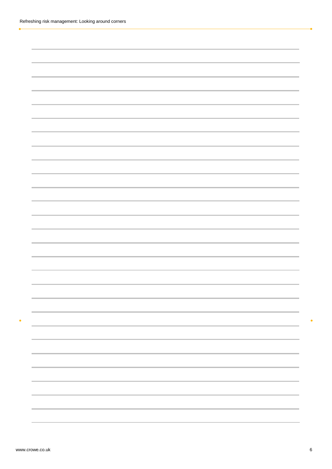|                                                                                   | the control of the control of the control of |
|-----------------------------------------------------------------------------------|----------------------------------------------|
|                                                                                   |                                              |
|                                                                                   |                                              |
|                                                                                   |                                              |
|                                                                                   |                                              |
|                                                                                   |                                              |
|                                                                                   |                                              |
|                                                                                   |                                              |
|                                                                                   |                                              |
|                                                                                   |                                              |
|                                                                                   |                                              |
|                                                                                   |                                              |
|                                                                                   |                                              |
|                                                                                   |                                              |
|                                                                                   |                                              |
|                                                                                   |                                              |
|                                                                                   |                                              |
|                                                                                   |                                              |
|                                                                                   |                                              |
|                                                                                   |                                              |
|                                                                                   |                                              |
|                                                                                   |                                              |
|                                                                                   |                                              |
|                                                                                   | and the control of the control               |
|                                                                                   |                                              |
|                                                                                   |                                              |
|                                                                                   | the control of the control of the            |
|                                                                                   |                                              |
|                                                                                   |                                              |
| ,我们也不会有什么?""我们不会有什么?""我们不会有什么?""我们不会有什么?""我们不会有什么?""我们不会有什么?""我们不会有什么?""我们不会有什么?" |                                              |
|                                                                                   |                                              |
|                                                                                   |                                              |
|                                                                                   |                                              |
|                                                                                   |                                              |
|                                                                                   |                                              |
| ,我们也不会有什么?""我们的人,我们也不会有什么?""我们的人,我们也不会有什么?""我们的人,我们也不会有什么?""我们的人,我们也不会有什么?""我们的人  |                                              |
|                                                                                   |                                              |
| ,我们也不会有什么?""我们的人,我们也不会不会不会。""我们的人,我们也不会不会不会不会。""我们的人,我们也不会不会不会。""我们的人,我们也不会不会不会。" |                                              |
|                                                                                   |                                              |
|                                                                                   |                                              |
| 的,我们也不会有什么?""我们的人,我们也不会有什么?""我们的人,我们也不会有什么?""我们的人,我们也不会有什么?""我们的人,我们也不会有什么?""我们的  |                                              |
|                                                                                   |                                              |
|                                                                                   |                                              |
| ,我们也不会有什么?""我们的话,我们也不会有什么?""我们的话,我们也不会有什么?""我们的话,我们也不会有什么?""我们的话,我们也不会有什么?""我们的话  |                                              |
|                                                                                   |                                              |
|                                                                                   |                                              |
|                                                                                   |                                              |
|                                                                                   |                                              |
|                                                                                   |                                              |
|                                                                                   |                                              |

 $\bullet$ 

 $\bullet$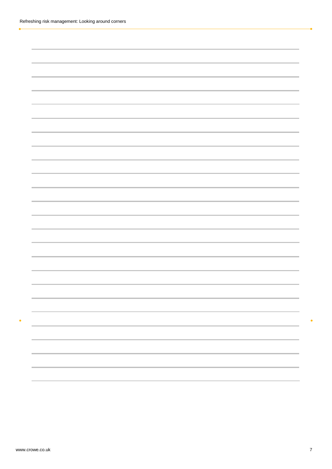|                                                                                  | the control of the con-                      |
|----------------------------------------------------------------------------------|----------------------------------------------|
|                                                                                  |                                              |
|                                                                                  |                                              |
|                                                                                  |                                              |
|                                                                                  |                                              |
|                                                                                  |                                              |
|                                                                                  |                                              |
|                                                                                  | the control of the control of the            |
|                                                                                  |                                              |
|                                                                                  |                                              |
|                                                                                  |                                              |
|                                                                                  |                                              |
|                                                                                  |                                              |
|                                                                                  |                                              |
|                                                                                  |                                              |
|                                                                                  |                                              |
|                                                                                  |                                              |
|                                                                                  |                                              |
|                                                                                  |                                              |
|                                                                                  |                                              |
|                                                                                  |                                              |
|                                                                                  |                                              |
|                                                                                  |                                              |
|                                                                                  |                                              |
|                                                                                  |                                              |
|                                                                                  |                                              |
|                                                                                  |                                              |
|                                                                                  |                                              |
|                                                                                  |                                              |
|                                                                                  |                                              |
|                                                                                  |                                              |
|                                                                                  |                                              |
|                                                                                  |                                              |
|                                                                                  |                                              |
|                                                                                  |                                              |
|                                                                                  |                                              |
|                                                                                  |                                              |
| ,我们也不会有什么?""我们的人,我们也不会有什么?""我们的人,我们也不会有什么?""我们的人,我们也不会有什么?""我们的人,我们也不会有什么?""我们的人 |                                              |
|                                                                                  |                                              |
|                                                                                  |                                              |
|                                                                                  |                                              |
| ,我们也不会有什么?""我们的人,我们也不会有什么?""我们的人,我们也不会有什么?""我们的人,我们也不会有什么?""我们的人,我们也不会有什么?""我们的人 |                                              |
|                                                                                  |                                              |
|                                                                                  |                                              |
|                                                                                  |                                              |
|                                                                                  |                                              |
|                                                                                  |                                              |
|                                                                                  |                                              |
|                                                                                  | the control of the control of the control of |
|                                                                                  |                                              |
|                                                                                  |                                              |
|                                                                                  | $\sim$                                       |

 $\bullet$ 

 $\bullet$